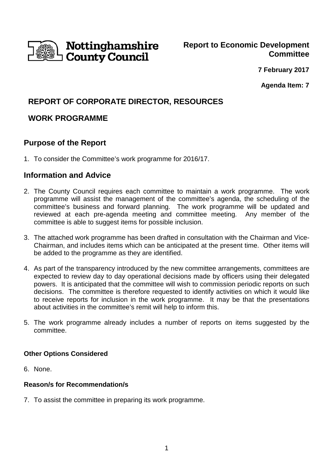

**7 February 2017**

**Agenda Item: 7**

# **REPORT OF CORPORATE DIRECTOR, RESOURCES**

## **WORK PROGRAMME**

### **Purpose of the Report**

1. To consider the Committee's work programme for 2016/17.

### **Information and Advice**

- 2. The County Council requires each committee to maintain a work programme. The work programme will assist the management of the committee's agenda, the scheduling of the committee's business and forward planning. The work programme will be updated and reviewed at each pre-agenda meeting and committee meeting. Any member of the committee is able to suggest items for possible inclusion.
- 3. The attached work programme has been drafted in consultation with the Chairman and Vice-Chairman, and includes items which can be anticipated at the present time. Other items will be added to the programme as they are identified.
- 4. As part of the transparency introduced by the new committee arrangements, committees are expected to review day to day operational decisions made by officers using their delegated powers. It is anticipated that the committee will wish to commission periodic reports on such decisions. The committee is therefore requested to identify activities on which it would like to receive reports for inclusion in the work programme. It may be that the presentations about activities in the committee's remit will help to inform this.
- 5. The work programme already includes a number of reports on items suggested by the committee.

### **Other Options Considered**

6. None.

### **Reason/s for Recommendation/s**

7. To assist the committee in preparing its work programme.